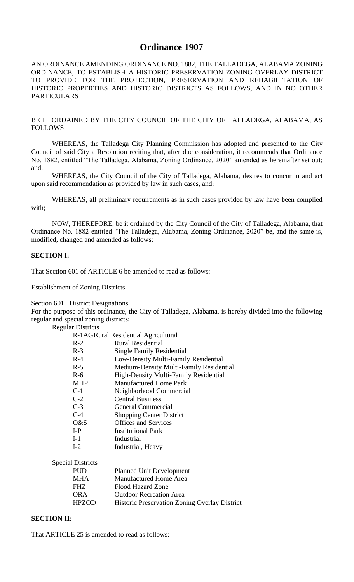# **Ordinance 1907**

AN ORDINANCE AMENDING ORDINANCE NO. 1882, THE TALLADEGA, ALABAMA ZONING ORDINANCE, TO ESTABLISH A HISTORIC PRESERVATION ZONING OVERLAY DISTRICT TO PROVIDE FOR THE PROTECTION, PRESERVATION AND REHABILITATION OF HISTORIC PROPERTIES AND HISTORIC DISTRICTS AS FOLLOWS, AND IN NO OTHER PARTICULARS

BE IT ORDAINED BY THE CITY COUNCIL OF THE CITY OF TALLADEGA, ALABAMA, AS FOLLOWS:

 $\overline{\phantom{a}}$ 

WHEREAS, the Talladega City Planning Commission has adopted and presented to the City Council of said City a Resolution reciting that, after due consideration, it recommends that Ordinance No. 1882, entitled "The Talladega, Alabama, Zoning Ordinance, 2020" amended as hereinafter set out; and,

WHEREAS, the City Council of the City of Talladega, Alabama, desires to concur in and act upon said recommendation as provided by law in such cases, and;

WHEREAS, all preliminary requirements as in such cases provided by law have been complied with;

NOW, THEREFORE, be it ordained by the City Council of the City of Talladega, Alabama, that Ordinance No. 1882 entitled "The Talladega, Alabama, Zoning Ordinance, 2020" be, and the same is, modified, changed and amended as follows:

# **SECTION I:**

That Section 601 of ARTICLE 6 be amended to read as follows:

Establishment of Zoning Districts

Section 601. District Designations.

For the purpose of this ordinance, the City of Talladega, Alabama, is hereby divided into the following regular and special zoning districts:

| <b>Regular Districts</b> |  |
|--------------------------|--|
|--------------------------|--|

| R-1AGRural Residential Agricultural |                                         |  |
|-------------------------------------|-----------------------------------------|--|
| $R-2$                               | <b>Rural Residential</b>                |  |
| $R-3$                               | Single Family Residential               |  |
| $R-4$                               | Low-Density Multi-Family Residential    |  |
| $R-5$                               | Medium-Density Multi-Family Residential |  |
| $R-6$                               | High-Density Multi-Family Residential   |  |
| <b>MHP</b>                          | <b>Manufactured Home Park</b>           |  |
| $C-1$                               | Neighborhood Commercial                 |  |
| $C-2$                               | <b>Central Business</b>                 |  |
| $C-3$                               | <b>General Commercial</b>               |  |
| $C-4$                               | <b>Shopping Center District</b>         |  |
| O&S                                 | <b>Offices and Services</b>             |  |
| $I-P$                               | Institutional Park                      |  |
| $I-1$                               | Industrial                              |  |
| $I-2$                               | Industrial, Heavy                       |  |
| al Districts                        |                                         |  |
| PUD                                 | <b>Planned Unit Development</b>         |  |
| <b>B FTT A</b>                      | 1 <i>1 C.</i> 111                       |  |

Specia

| <b>PUD</b>   | <b>Planned Unit Development</b>                      |
|--------------|------------------------------------------------------|
| <b>MHA</b>   | Manufactured Home Area                               |
| FHZ.         | <b>Flood Hazard Zone</b>                             |
| <b>ORA</b>   | <b>Outdoor Recreation Area</b>                       |
| <b>HPZOD</b> | <b>Historic Preservation Zoning Overlay District</b> |
|              |                                                      |

# **SECTION II:**

That ARTICLE 25 is amended to read as follows: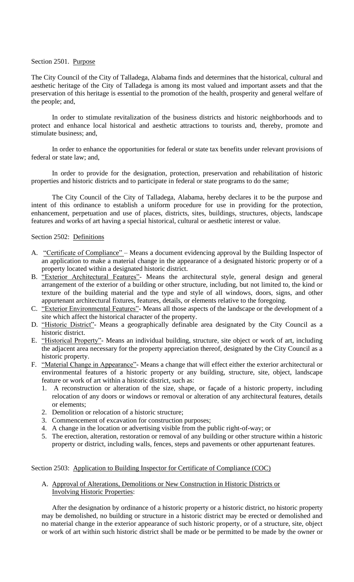## Section 2501. Purpose

The City Council of the City of Talladega, Alabama finds and determines that the historical, cultural and aesthetic heritage of the City of Talladega is among its most valued and important assets and that the preservation of this heritage is essential to the promotion of the health, prosperity and general welfare of the people; and,

In order to stimulate revitalization of the business districts and historic neighborhoods and to protect and enhance local historical and aesthetic attractions to tourists and, thereby, promote and stimulate business; and,

In order to enhance the opportunities for federal or state tax benefits under relevant provisions of federal or state law; and,

In order to provide for the designation, protection, preservation and rehabilitation of historic properties and historic districts and to participate in federal or state programs to do the same;

The City Council of the City of Talladega, Alabama, hereby declares it to be the purpose and intent of this ordinance to establish a uniform procedure for use in providing for the protection, enhancement, perpetuation and use of places, districts, sites, buildings, structures, objects, landscape features and works of art having a special historical, cultural or aesthetic interest or value.

### Section 2502: Definitions

- A. "Certificate of Compliance" Means a document evidencing approval by the Building Inspector of an application to make a material change in the appearance of a designated historic property or of a property located within a designated historic district.
- B. "Exterior Architectural Features"- Means the architectural style, general design and general arrangement of the exterior of a building or other structure, including, but not limited to, the kind or texture of the building material and the type and style of all windows, doors, signs, and other appurtenant architectural fixtures, features, details, or elements relative to the foregoing.
- C. "Exterior Environmental Features"- Means all those aspects of the landscape or the development of a site which affect the historical character of the property.
- D. "Historic District"- Means a geographically definable area designated by the City Council as a historic district.
- E. "Historical Property"- Means an individual building, structure, site object or work of art, including the adjacent area necessary for the property appreciation thereof, designated by the City Council as a historic property.
- F. "Material Change in Appearance"- Means a change that will effect either the exterior architectural or environmental features of a historic property or any building, structure, site, object, landscape feature or work of art within a historic district, such as:
	- 1. A reconstruction or alteration of the size, shape, or façade of a historic property, including relocation of any doors or windows or removal or alteration of any architectural features, details or elements;
	- 2. Demolition or relocation of a historic structure;
	- 3. Commencement of excavation for construction purposes;
	- 4. A change in the location or advertising visible from the public right-of-way; or
	- 5. The erection, alteration, restoration or removal of any building or other structure within a historic property or district, including walls, fences, steps and pavements or other appurtenant features.

# Section 2503: Application to Building Inspector for Certificate of Compliance (COC)

### A. Approval of Alterations, Demolitions or New Construction in Historic Districts or Involving Historic Properties:

After the designation by ordinance of a historic property or a historic district, no historic property may be demolished, no building or structure in a historic district may be erected or demolished and no material change in the exterior appearance of such historic property, or of a structure, site, object or work of art within such historic district shall be made or be permitted to be made by the owner or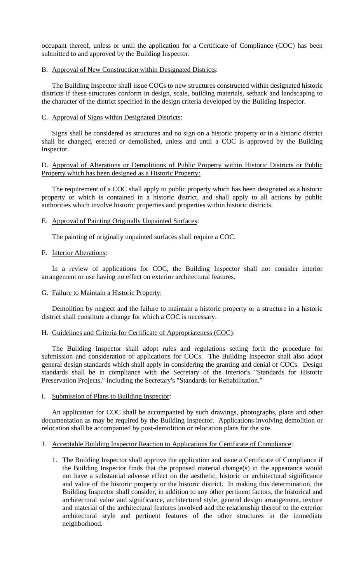occupant thereof, unless or until the application for a Certificate of Compliance (COC) has been submitted to and approved by the Building Inspector.

#### B. Approval of New Construction within Designated Districts:

The Building Inspector shall issue COCs to new structures constructed within designated historic districts if these structures conform in design, scale, building materials, setback and landscaping to the character of the district specified in the design criteria developed by the Building Inspector.

### C. Approval of Signs within Designated Districts:

Signs shall be considered as structures and no sign on a historic property or in a historic district shall be changed, erected or demolished, unless and until a COC is approved by the Building Inspector.

### D. Approval of Alterations or Demolitions of Public Property within Historic Districts or Public Property which has been designed as a Historic Property:

The requirement of a COC shall apply to public property which has been designated as a historic property or which is contained in a historic district, and shall apply to all actions by public authorities which involve historic properties and properties within historic districts.

### E. Approval of Painting Originally Unpainted Surfaces:

The painting of originally unpainted surfaces shall require a COC.

## F. Interior Alterations:

In a review of applications for COC, the Building Inspector shall not consider interior arrangement or use having no effect on exterior architectural features.

#### G. Failure to Maintain a Historic Property:

Demolition by neglect and the failure to maintain a historic property or a structure in a historic district shall constitute a change for which a COC is necessary.

### H. Guidelines and Criteria for Certificate of Appropriateness (COC):

The Building Inspector shall adopt rules and regulations setting forth the procedure for submission and consideration of applications for COCs. The Building Inspector shall also adopt general design standards which shall apply in considering the granting and denial of COCs. Design standards shall be in compliance with the Secretary of the Interior's "Standards for Historic Preservation Projects," including the Secretary's "Standards for Rehabilitation."

#### I. Submission of Plans to Building Inspector:

An application for COC shall be accompanied by such drawings, photographs, plans and other documentation as may be required by the Building Inspector. Applications involving demolition or relocation shall be accompanied by post-demolition or relocation plans for the site.

#### J. Acceptable Building Inspector Reaction to Applications for Certificate of Compliance:

1. The Building Inspector shall approve the application and issue a Certificate of Compliance if the Building Inspector finds that the proposed material change(s) in the appearance would not have a substantial adverse effect on the aesthetic, historic or architectural significance and value of the historic property or the historic district. In making this determination, the Building Inspector shall consider, in addition to any other pertinent factors, the historical and architectural value and significance, architectural style, general design arrangement, texture and material of the architectural features involved and the relationship thereof to the exterior architectural style and pertinent features of the other structures in the immediate neighborhood.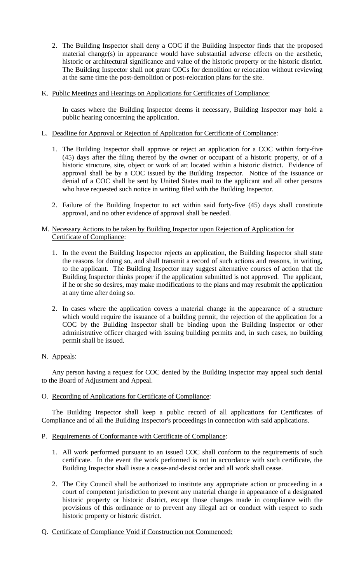- 2. The Building Inspector shall deny a COC if the Building Inspector finds that the proposed material change(s) in appearance would have substantial adverse effects on the aesthetic, historic or architectural significance and value of the historic property or the historic district. The Building Inspector shall not grant COCs for demolition or relocation without reviewing at the same time the post-demolition or post-relocation plans for the site.
- K. Public Meetings and Hearings on Applications for Certificates of Compliance:

In cases where the Building Inspector deems it necessary, Building Inspector may hold a public hearing concerning the application.

- L. Deadline for Approval or Rejection of Application for Certificate of Compliance:
	- 1. The Building Inspector shall approve or reject an application for a COC within forty-five (45) days after the filing thereof by the owner or occupant of a historic property, or of a historic structure, site, object or work of art located within a historic district. Evidence of approval shall be by a COC issued by the Building Inspector. Notice of the issuance or denial of a COC shall be sent by United States mail to the applicant and all other persons who have requested such notice in writing filed with the Building Inspector.
	- 2. Failure of the Building Inspector to act within said forty-five (45) days shall constitute approval, and no other evidence of approval shall be needed.

# M. Necessary Actions to be taken by Building Inspector upon Rejection of Application for Certificate of Compliance:

- 1. In the event the Building Inspector rejects an application, the Building Inspector shall state the reasons for doing so, and shall transmit a record of such actions and reasons, in writing, to the applicant. The Building Inspector may suggest alternative courses of action that the Building Inspector thinks proper if the application submitted is not approved. The applicant, if he or she so desires, may make modifications to the plans and may resubmit the application at any time after doing so.
- 2. In cases where the application covers a material change in the appearance of a structure which would require the issuance of a building permit, the rejection of the application for a COC by the Building Inspector shall be binding upon the Building Inspector or other administrative officer charged with issuing building permits and, in such cases, no building permit shall be issued.

# N. Appeals:

Any person having a request for COC denied by the Building Inspector may appeal such denial to the Board of Adjustment and Appeal.

O. Recording of Applications for Certificate of Compliance:

The Building Inspector shall keep a public record of all applications for Certificates of Compliance and of all the Building Inspector's proceedings in connection with said applications.

# P. Requirements of Conformance with Certificate of Compliance:

- 1. All work performed pursuant to an issued COC shall conform to the requirements of such certificate. In the event the work performed is not in accordance with such certificate, the Building Inspector shall issue a cease-and-desist order and all work shall cease.
- 2. The City Council shall be authorized to institute any appropriate action or proceeding in a court of competent jurisdiction to prevent any material change in appearance of a designated historic property or historic district, except those changes made in compliance with the provisions of this ordinance or to prevent any illegal act or conduct with respect to such historic property or historic district.
- Q. Certificate of Compliance Void if Construction not Commenced: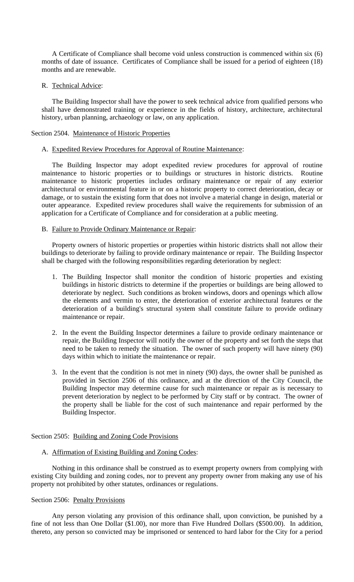A Certificate of Compliance shall become void unless construction is commenced within six (6) months of date of issuance. Certificates of Compliance shall be issued for a period of eighteen (18) months and are renewable.

#### R. Technical Advice:

The Building Inspector shall have the power to seek technical advice from qualified persons who shall have demonstrated training or experience in the fields of history, architecture, architectural history, urban planning, archaeology or law, on any application.

## Section 2504. Maintenance of Historic Properties

#### A. Expedited Review Procedures for Approval of Routine Maintenance:

The Building Inspector may adopt expedited review procedures for approval of routine maintenance to historic properties or to buildings or structures in historic districts. Routine maintenance to historic properties includes ordinary maintenance or repair of any exterior architectural or environmental feature in or on a historic property to correct deterioration, decay or damage, or to sustain the existing form that does not involve a material change in design, material or outer appearance. Expedited review procedures shall waive the requirements for submission of an application for a Certificate of Compliance and for consideration at a public meeting.

### B. Failure to Provide Ordinary Maintenance or Repair:

Property owners of historic properties or properties within historic districts shall not allow their buildings to deteriorate by failing to provide ordinary maintenance or repair. The Building Inspector shall be charged with the following responsibilities regarding deterioration by neglect:

- 1. The Building Inspector shall monitor the condition of historic properties and existing buildings in historic districts to determine if the properties or buildings are being allowed to deteriorate by neglect. Such conditions as broken windows, doors and openings which allow the elements and vermin to enter, the deterioration of exterior architectural features or the deterioration of a building's structural system shall constitute failure to provide ordinary maintenance or repair.
- 2. In the event the Building Inspector determines a failure to provide ordinary maintenance or repair, the Building Inspector will notify the owner of the property and set forth the steps that need to be taken to remedy the situation. The owner of such property will have ninety (90) days within which to initiate the maintenance or repair.
- 3. In the event that the condition is not met in ninety (90) days, the owner shall be punished as provided in Section 2506 of this ordinance, and at the direction of the City Council, the Building Inspector may determine cause for such maintenance or repair as is necessary to prevent deterioration by neglect to be performed by City staff or by contract. The owner of the property shall be liable for the cost of such maintenance and repair performed by the Building Inspector.

#### Section 2505: Building and Zoning Code Provisions

# A. Affirmation of Existing Building and Zoning Codes:

Nothing in this ordinance shall be construed as to exempt property owners from complying with existing City building and zoning codes, nor to prevent any property owner from making any use of his property not prohibited by other statutes, ordinances or regulations.

#### Section 2506: Penalty Provisions

Any person violating any provision of this ordinance shall, upon conviction, be punished by a fine of not less than One Dollar (\$1.00), nor more than Five Hundred Dollars (\$500.00). In addition, thereto, any person so convicted may be imprisoned or sentenced to hard labor for the City for a period